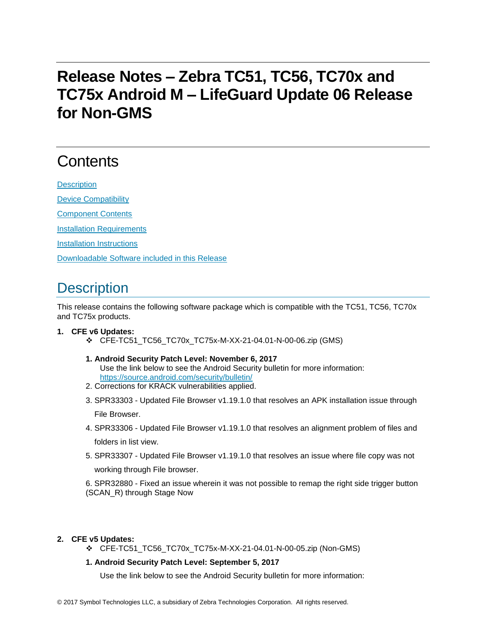## **Release Notes – Zebra TC51, TC56, TC70x and TC75x Android M – LifeGuard Update 06 Release for Non-GMS**

# **Contents**

**[Description](#page-0-0)** [Device Compatibility](#page-1-0) [Component Contents](#page-2-0) [Installation Requirements](#page-2-1) [Installation Instructions](#page-2-2)

[Downloadable Software included in this Release](#page-3-0)

## <span id="page-0-0"></span>**Description**

This release contains the following software package which is compatible with the TC51, TC56, TC70x and TC75x products.

#### **1. CFE v6 Updates:**

- ❖ CFE-TC51\_TC56\_TC70x\_TC75x-M-XX-21-04.01-N-00-06.zip (GMS)
- **1. Android Security Patch Level: November 6, 2017** Use the link below to see the Android Security bulletin for more information: <https://source.android.com/security/bulletin/>
- 2. Corrections for KRACK vulnerabilities applied.
- 3. SPR33303 Updated File Browser v1.19.1.0 that resolves an APK installation issue through File Browser.
- 4. SPR33306 Updated File Browser v1.19.1.0 that resolves an alignment problem of files and folders in list view.
- 5. SPR33307 Updated File Browser v1.19.1.0 that resolves an issue where file copy was not working through File browser.

6. SPR32880 - Fixed an issue wherein it was not possible to remap the right side trigger button (SCAN\_R) through Stage Now

#### **2. CFE v5 Updates:**

- ❖ CFE-TC51\_TC56\_TC70x\_TC75x-M-XX-21-04.01-N-00-05.zip (Non-GMS)
- **1. Android Security Patch Level: September 5, 2017**

Use the link below to see the Android Security bulletin for more information: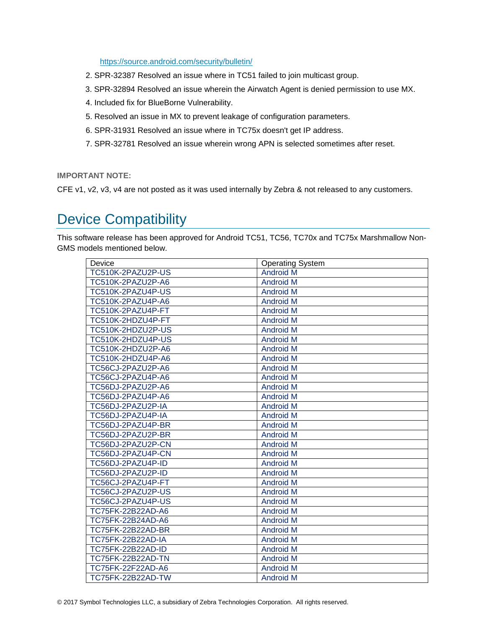<https://source.android.com/security/bulletin/>

- 2. SPR-32387 Resolved an issue where in TC51 failed to join multicast group.
- 3. SPR-32894 Resolved an issue wherein the Airwatch Agent is denied permission to use MX.
- 4. Included fix for BlueBorne Vulnerability.
- 5. Resolved an issue in MX to prevent leakage of configuration parameters.
- 6. SPR-31931 Resolved an issue where in TC75x doesn't get IP address.
- 7. SPR-32781 Resolved an issue wherein wrong APN is selected sometimes after reset.

**IMPORTANT NOTE:**

CFE v1, v2, v3, v4 are not posted as it was used internally by Zebra & not released to any customers.

## <span id="page-1-0"></span>Device Compatibility

This software release has been approved for Android TC51, TC56, TC70x and TC75x Marshmallow Non-GMS models mentioned below.

| Device                   | <b>Operating System</b> |
|--------------------------|-------------------------|
| TC510K-2PAZU2P-US        | <b>Android M</b>        |
| TC510K-2PAZU2P-A6        | <b>Android M</b>        |
| TC510K-2PAZU4P-US        | <b>Android M</b>        |
| TC510K-2PAZU4P-A6        | <b>Android M</b>        |
| TC510K-2PAZU4P-FT        | <b>Android M</b>        |
| TC510K-2HDZU4P-FT        | <b>Android M</b>        |
| TC510K-2HDZU2P-US        | <b>Android M</b>        |
| TC510K-2HDZU4P-US        | <b>Android M</b>        |
| TC510K-2HDZU2P-A6        | <b>Android M</b>        |
| TC510K-2HDZU4P-A6        | <b>Android M</b>        |
| TC56CJ-2PAZU2P-A6        | <b>Android M</b>        |
| TC56CJ-2PAZU4P-A6        | <b>Android M</b>        |
| TC56DJ-2PAZU2P-A6        | <b>Android M</b>        |
| TC56DJ-2PAZU4P-A6        | <b>Android M</b>        |
| TC56DJ-2PAZU2P-IA        | <b>Android M</b>        |
| TC56DJ-2PAZU4P-IA        | <b>Android M</b>        |
| TC56DJ-2PAZU4P-BR        | <b>Android M</b>        |
| TC56DJ-2PAZU2P-BR        | <b>Android M</b>        |
| TC56DJ-2PAZU2P-CN        | <b>Android M</b>        |
| TC56DJ-2PAZU4P-CN        | <b>Android M</b>        |
| TC56DJ-2PAZU4P-ID        | <b>Android M</b>        |
| TC56DJ-2PAZU2P-ID        | <b>Android M</b>        |
| TC56CJ-2PAZU4P-FT        | <b>Android M</b>        |
| TC56CJ-2PAZU2P-US        | <b>Android M</b>        |
| TC56CJ-2PAZU4P-US        | <b>Android M</b>        |
| TC75FK-22B22AD-A6        | <b>Android M</b>        |
| TC75FK-22B24AD-A6        | <b>Android M</b>        |
| TC75FK-22B22AD-BR        | <b>Android M</b>        |
| <b>TC75FK-22B22AD-IA</b> | <b>Android M</b>        |
| TC75FK-22B22AD-ID        | <b>Android M</b>        |
| <b>TC75FK-22B22AD-TN</b> | <b>Android M</b>        |
| TC75FK-22F22AD-A6        | <b>Android M</b>        |
| TC75FK-22B22AD-TW        | <b>Android M</b>        |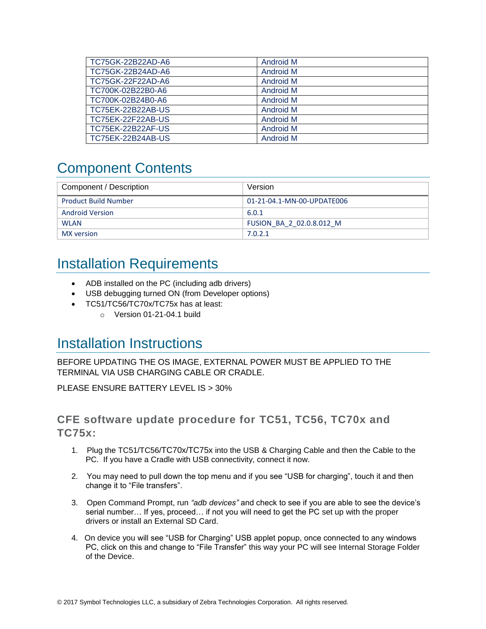| TC75GK-22B22AD-A6        | <b>Android M</b> |
|--------------------------|------------------|
| TC75GK-22B24AD-A6        | <b>Android M</b> |
| TC75GK-22F22AD-A6        | <b>Android M</b> |
| TC700K-02B22B0-A6        | Android M        |
| TC700K-02B24B0-A6        | Android M        |
| TC75EK-22B22AB-US        | Android M        |
| <b>TC75EK-22F22AB-US</b> | <b>Android M</b> |
| <b>TC75EK-22B22AF-US</b> | <b>Android M</b> |
| TC75EK-22B24AB-US        | <b>Android M</b> |

## <span id="page-2-0"></span>Component Contents

| Component / Description     | Version                    |
|-----------------------------|----------------------------|
| <b>Product Build Number</b> | 01-21-04.1-MN-00-UPDATE006 |
| <b>Android Version</b>      | 6.0.1                      |
| <b>WLAN</b>                 | FUSION BA 2 02.0.8.012 M   |
| MX version                  | 7.0.2.1                    |

#### <span id="page-2-1"></span>Installation Requirements

- ADB installed on the PC (including adb drivers)
- USB debugging turned ON (from Developer options)
- TC51/TC56/TC70x/TC75x has at least:
	- o Version 01-21-04.1 build

#### <span id="page-2-2"></span>Installation Instructions

BEFORE UPDATING THE OS IMAGE, EXTERNAL POWER MUST BE APPLIED TO THE TERMINAL VIA USB CHARGING CABLE OR CRADLE.

PLEASE ENSURE BATTERY LEVEL IS > 30%

#### CFE software update procedure for TC51, TC56, TC70x and TC75x:

- 1. Plug the TC51/TC56/TC70x/TC75x into the USB & Charging Cable and then the Cable to the PC. If you have a Cradle with USB connectivity, connect it now.
- 2. You may need to pull down the top menu and if you see "USB for charging", touch it and then change it to "File transfers".
- 3. Open Command Prompt, run *"adb devices"* and check to see if you are able to see the device's serial number… If yes, proceed… if not you will need to get the PC set up with the proper drivers or install an External SD Card.
- 4. On device you will see "USB for Charging" USB applet popup, once connected to any windows PC, click on this and change to "File Transfer" this way your PC will see Internal Storage Folder of the Device.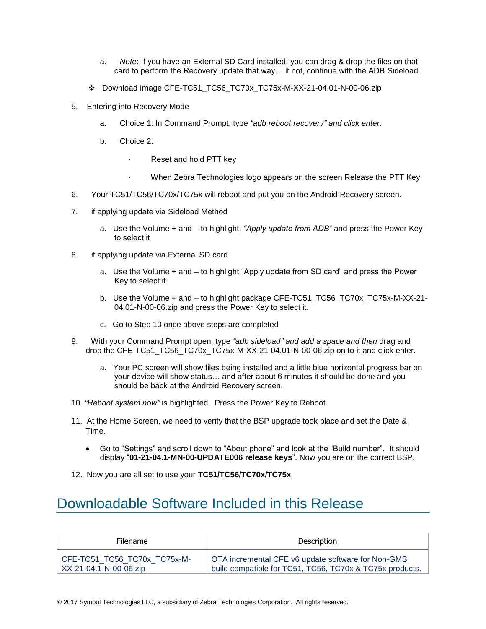- a. *Note*: If you have an External SD Card installed, you can drag & drop the files on that card to perform the Recovery update that way… if not, continue with the ADB Sideload.
- ❖ Download Image CFE-TC51\_TC56\_TC70x\_TC75x-M-XX-21-04.01-N-00-06.zip
- 5. Entering into Recovery Mode
	- a. Choice 1: In Command Prompt, type *"adb reboot recovery" and click enter*.
	- b. Choice 2:
		- Reset and hold PTT key
		- When Zebra Technologies logo appears on the screen Release the PTT Key
- 6. Your TC51/TC56/TC70x/TC75x will reboot and put you on the Android Recovery screen.
- 7. if applying update via Sideload Method
	- a. Use the Volume + and to highlight, *"Apply update from ADB"* and press the Power Key to select it
- 8. if applying update via External SD card
	- a. Use the Volume + and to highlight "Apply update from SD card" and press the Power Key to select it
	- b. Use the Volume + and to highlight package CFE-TC51\_TC56\_TC70x\_TC75x-M-XX-21-04.01-N-00-06.zip and press the Power Key to select it.
	- c. Go to Step 10 once above steps are completed
- 9. With your Command Prompt open, type *"adb sideload" and add a space and then* drag and drop the CFE-TC51\_TC56\_TC70x\_TC75x-M-XX-21-04.01-N-00-06.zip on to it and click enter.
	- a. Your PC screen will show files being installed and a little blue horizontal progress bar on your device will show status… and after about 6 minutes it should be done and you should be back at the Android Recovery screen.
- 10. *"Reboot system now"* is highlighted. Press the Power Key to Reboot.
- 11. At the Home Screen, we need to verify that the BSP upgrade took place and set the Date & Time.
	- Go to "Settings" and scroll down to "About phone" and look at the "Build number". It should display "**01-21-04.1-MN-00-UPDATE006 release keys**". Now you are on the correct BSP.
- 12. Now you are all set to use your **TC51/TC56/TC70x/TC75x**.

## <span id="page-3-0"></span>Downloadable Software Included in this Release

| <b>Filename</b>              | Description                                              |
|------------------------------|----------------------------------------------------------|
| CFE-TC51 TC56 TC70x TC75x-M- | OTA incremental CFE v6 update software for Non-GMS       |
| XX-21-04.1-N-00-06.zip       | build compatible for TC51, TC56, TC70x & TC75x products. |